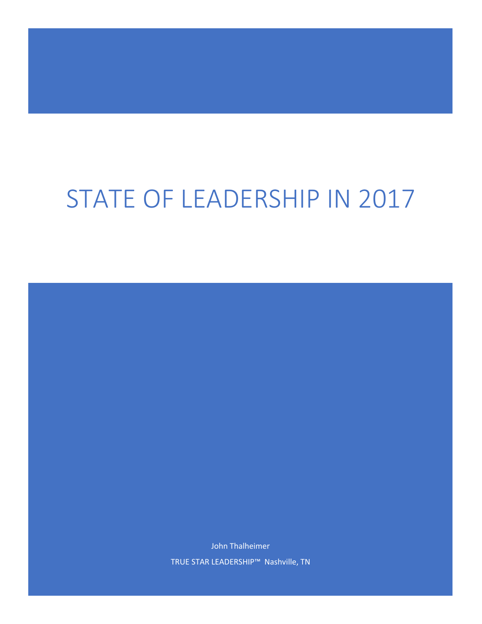# STATE OF LEADERSHIP IN 2017

John Thalheimer TRUE STAR LEADERSHIP™ Nashville, TN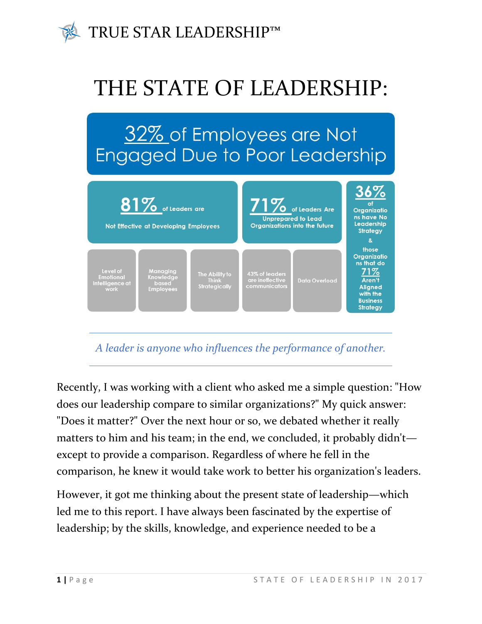

# THE STATE OF LEADERSHIP:

# 32% of Employees are Not **Engaged Due to Poor Leadership**



#### *A leader is anyone who influences the performance of another.*

Recently, I was working with a client who asked me a simple question: "How does our leadership compare to similar organizations?" My quick answer: "Does it matter?" Over the next hour or so, we debated whether it really matters to him and his team; in the end, we concluded, it probably didn't except to provide a comparison. Regardless of where he fell in the comparison, he knew it would take work to better his organization's leaders.

However, it got me thinking about the present state of leadership—which led me to this report. I have always been fascinated by the expertise of leadership; by the skills, knowledge, and experience needed to be a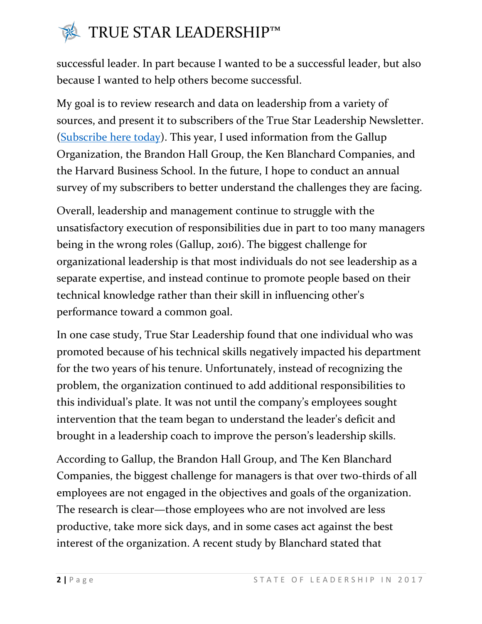## **TRUE STAR LEADERSHIP™**

successful leader. In part because I wanted to be a successful leader, but also because I wanted to help others become successful.

My goal is to review research and data on leadership from a variety of sources, and present it to subscribers of the True Star Leadership Newsletter. [\(Subscribe here today\)](http://truestarleadership.com/subscribe/). This year, I used information from the Gallup Organization, the Brandon Hall Group, the Ken Blanchard Companies, and the Harvard Business School. In the future, I hope to conduct an annual survey of my subscribers to better understand the challenges they are facing.

Overall, leadership and management continue to struggle with the unsatisfactory execution of responsibilities due in part to too many managers being in the wrong roles (Gallup, 2016). The biggest challenge for organizational leadership is that most individuals do not see leadership as a separate expertise, and instead continue to promote people based on their technical knowledge rather than their skill in influencing other's performance toward a common goal.

In one case study, True Star Leadership found that one individual who was promoted because of his technical skills negatively impacted his department for the two years of his tenure. Unfortunately, instead of recognizing the problem, the organization continued to add additional responsibilities to this individual's plate. It was not until the company's employees sought intervention that the team began to understand the leader's deficit and brought in a leadership coach to improve the person's leadership skills.

According to Gallup, the Brandon Hall Group, and The Ken Blanchard Companies, the biggest challenge for managers is that over two-thirds of all employees are not engaged in the objectives and goals of the organization. The research is clear—those employees who are not involved are less productive, take more sick days, and in some cases act against the best interest of the organization. A recent study by Blanchard stated that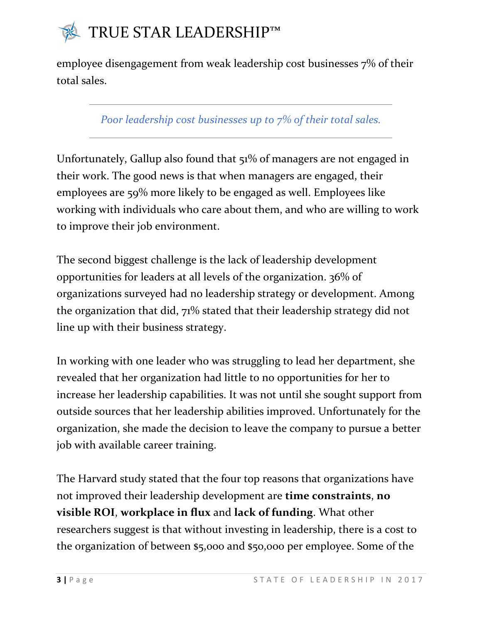

employee disengagement from weak leadership cost businesses 7% of their total sales.

*Poor leadership cost businesses up to 7% of their total sales.*

Unfortunately, Gallup also found that 51% of managers are not engaged in their work. The good news is that when managers are engaged, their employees are 59% more likely to be engaged as well. Employees like working with individuals who care about them, and who are willing to work to improve their job environment.

The second biggest challenge is the lack of leadership development opportunities for leaders at all levels of the organization. 36% of organizations surveyed had no leadership strategy or development. Among the organization that did, 71% stated that their leadership strategy did not line up with their business strategy.

In working with one leader who was struggling to lead her department, she revealed that her organization had little to no opportunities for her to increase her leadership capabilities. It was not until she sought support from outside sources that her leadership abilities improved. Unfortunately for the organization, she made the decision to leave the company to pursue a better job with available career training.

The Harvard study stated that the four top reasons that organizations have not improved their leadership development are **time constraints**, **no visible ROI**, **workplace in flux** and **lack of funding**. What other researchers suggest is that without investing in leadership, there is a cost to the organization of between \$5,000 and \$50,000 per employee. Some of the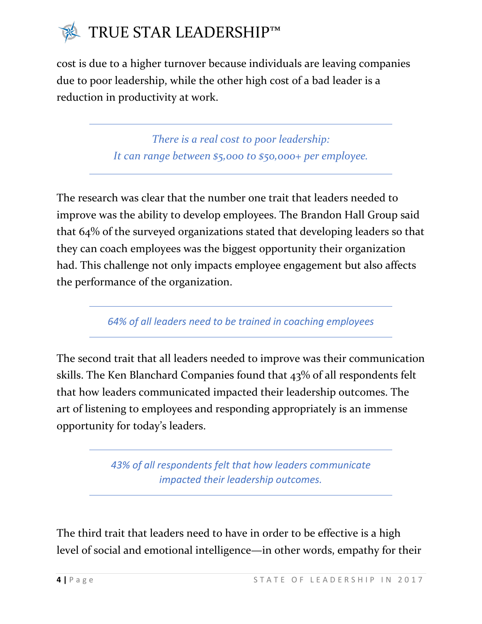

cost is due to a higher turnover because individuals are leaving companies due to poor leadership, while the other high cost of a bad leader is a reduction in productivity at work.

> *There is a real cost to poor leadership: It can range between \$5,000 to \$50,000+ per employee.*

The research was clear that the number one trait that leaders needed to improve was the ability to develop employees. The Brandon Hall Group said that 64% of the surveyed organizations stated that developing leaders so that they can coach employees was the biggest opportunity their organization had. This challenge not only impacts employee engagement but also affects the performance of the organization.

*64% of all leaders need to be trained in coaching employees*

The second trait that all leaders needed to improve was their communication skills. The Ken Blanchard Companies found that 43% of all respondents felt that how leaders communicated impacted their leadership outcomes. The art of listening to employees and responding appropriately is an immense opportunity for today's leaders.

> *43% of all respondents felt that how leaders communicate impacted their leadership outcomes.*

The third trait that leaders need to have in order to be effective is a high level of social and emotional intelligence—in other words, empathy for their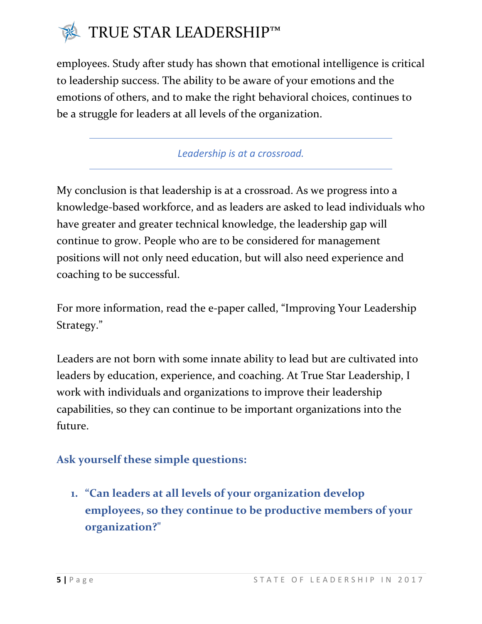

employees. Study after study has shown that emotional intelligence is critical to leadership success. The ability to be aware of your emotions and the emotions of others, and to make the right behavioral choices, continues to be a struggle for leaders at all levels of the organization.

*Leadership is at a crossroad.*

My conclusion is that leadership is at a crossroad. As we progress into a knowledge-based workforce, and as leaders are asked to lead individuals who have greater and greater technical knowledge, the leadership gap will continue to grow. People who are to be considered for management positions will not only need education, but will also need experience and coaching to be successful.

For more information, read the e-paper called, "Improving Your Leadership Strategy."

Leaders are not born with some innate ability to lead but are cultivated into leaders by education, experience, and coaching. At True Star Leadership, I work with individuals and organizations to improve their leadership capabilities, so they can continue to be important organizations into the future.

#### **Ask yourself these simple questions:**

**1. "Can leaders at all levels of your organization develop employees, so they continue to be productive members of your organization?"**